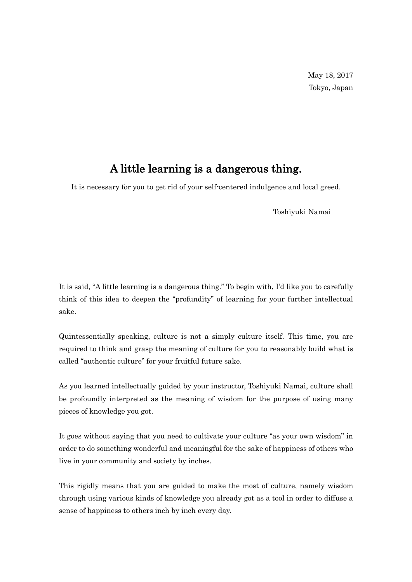## A little learning is a dangerous thing.

It is necessary for you to get rid of your self-centered indulgence and local greed.

Toshiyuki Namai

It is said, "A little learning is a dangerous thing." To begin with, I'd like you to carefully think of this idea to deepen the "profundity" of learning for your further intellectual sake.

Quintessentially speaking, culture is not a simply culture itself. This time, you are required to think and grasp the meaning of culture for you to reasonably build what is called "authentic culture" for your fruitful future sake.

As you learned intellectually guided by your instructor, Toshiyuki Namai, culture shall be profoundly interpreted as the meaning of wisdom for the purpose of using many pieces of knowledge you got.

It goes without saying that you need to cultivate your culture "as your own wisdom" in order to do something wonderful and meaningful for the sake of happiness of others who live in your community and society by inches.

This rigidly means that you are guided to make the most of culture, namely wisdom through using various kinds of knowledge you already got as a tool in order to diffuse a sense of happiness to others inch by inch every day.